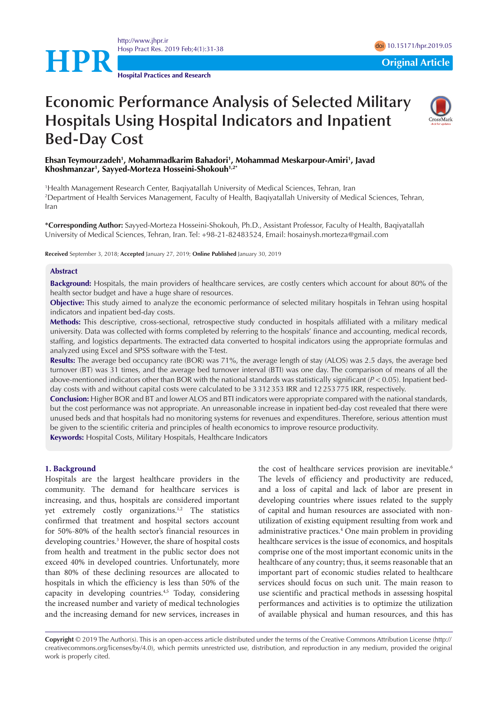<http://www.jhpr.ir> Hosp Pract Res. 2019 Feb;4(1):31-38 doi [10.15171/hpr.2019.0](https://doi.org/10.15171/hpr.2019.05)5



**Hospital Practices and Research**

# **Economic Performance Analysis of Selected Military Hospitals Using Hospital Indicators and Inpatient Bed-Day Cost**



**Ehsan Teymourzadeh1 , Mohammadkarim Bahadori1 , Mohammad Meskarpour-Amiri1 , Javad Khoshmanzar1 , Sayyed-Morteza Hosseini-Shokouh1,2\***

1 Health Management Research Center, Baqiyatallah University of Medical Sciences, Tehran, Iran 2 Department of Health Services Management, Faculty of Health, Baqiyatallah University of Medical Sciences, Tehran, Iran

**\*Corresponding Author:** Sayyed-Morteza Hosseini-Shokouh, Ph.D., Assistant Professor, Faculty of Health, Baqiyatallah University of Medical Sciences, Tehran, Iran. Tel: +98-21-82483524, Email: hosainysh.morteza@gmail.com

**Received** September 3, 2018; **Accepted** January 27, 2019; **Online Published** January 30, 2019

#### **Abstract**

**Background:** Hospitals, the main providers of healthcare services, are costly centers which account for about 80% of the health sector budget and have a huge share of resources.

**Objective:** This study aimed to analyze the economic performance of selected military hospitals in Tehran using hospital indicators and inpatient bed-day costs.

**Methods:** This descriptive, cross-sectional, retrospective study conducted in hospitals affiliated with a military medical university. Data was collected with forms completed by referring to the hospitals' finance and accounting, medical records, staffing, and logistics departments. The extracted data converted to hospital indicators using the appropriate formulas and analyzed using Excel and SPSS software with the T-test.

**Results:** The average bed occupancy rate (BOR) was 71%, the average length of stay (ALOS) was 2.5 days, the average bed turnover (BT) was 31 times, and the average bed turnover interval (BTI) was one day. The comparison of means of all the above-mentioned indicators other than BOR with the national standards was statistically significant  $(P < 0.05)$ . Inpatient bedday costs with and without capital costs were calculated to be 3312353 IRR and 12253775 IRR, respectively.

**Conclusion:** Higher BOR and BT and lower ALOS and BTI indicators were appropriate compared with the national standards, but the cost performance was not appropriate. An unreasonable increase in inpatient bed-day cost revealed that there were unused beds and that hospitals had no monitoring systems for revenues and expenditures. Therefore, serious attention must be given to the scientific criteria and principles of health economics to improve resource productivity.

**Keywords:** Hospital Costs, Military Hospitals, Healthcare Indicators

#### **1. Background**

Hospitals are the largest healthcare providers in the community. The demand for healthcare services is increasing, and thus, hospitals are considered important yet extremely costly organizations.<sup>1,2</sup> The statistics confirmed that treatment and hospital sectors account for 50%-80% of the health sector's financial resources in developing countries.3 However, the share of hospital costs from health and treatment in the public sector does not exceed 40% in developed countries. Unfortunately, more than 80% of these declining resources are allocated to hospitals in which the efficiency is less than 50% of the capacity in developing countries.4,5 Today, considering the increased number and variety of medical technologies and the increasing demand for new services, increases in the cost of healthcare services provision are inevitable.<sup>6</sup> The levels of efficiency and productivity are reduced, and a loss of capital and lack of labor are present in developing countries where issues related to the supply of capital and human resources are associated with nonutilization of existing equipment resulting from work and administrative practices.<sup>4</sup> One main problem in providing healthcare services is the issue of economics, and hospitals comprise one of the most important economic units in the healthcare of any country; thus, it seems reasonable that an important part of economic studies related to healthcare services should focus on such unit. The main reason to use scientific and practical methods in assessing hospital performances and activities is to optimize the utilization of available physical and human resources, and this has

**Copyright** © 2019 The Author(s). This is an open-access article distributed under the terms of the Creative Commons Attribution License (http:// creativecommons.org/licenses/by/4.0), which permits unrestricted use, distribution, and reproduction in any medium, provided the original work is properly cited.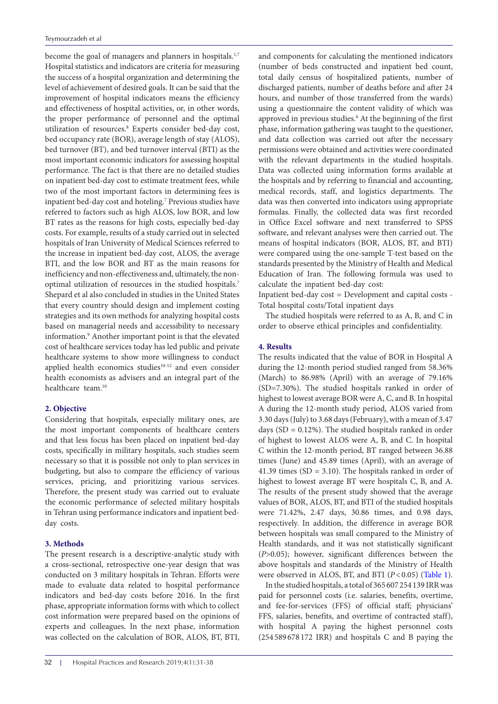become the goal of managers and planners in hospitals.<sup>1,7</sup> Hospital statistics and indicators are criteria for measuring the success of a hospital organization and determining the level of achievement of desired goals. It can be said that the improvement of hospital indicators means the efficiency and effectiveness of hospital activities, or, in other words, the proper performance of personnel and the optimal utilization of resources.<sup>8</sup> Experts consider bed-day cost, bed occupancy rate (BOR), average length of stay (ALOS), bed turnover (BT), and bed turnover interval (BTI) as the most important economic indicators for assessing hospital performance. The fact is that there are no detailed studies on inpatient bed-day cost to estimate treatment fees, while two of the most important factors in determining fees is inpatient bed-day cost and hoteling.<sup>7</sup> Previous studies have referred to factors such as high ALOS, low BOR, and low BT rates as the reasons for high costs, especially bed-day costs. For example, results of a study carried out in selected hospitals of Iran University of Medical Sciences referred to the increase in inpatient bed-day cost, ALOS, the average BTI, and the low BOR and BT as the main reasons for inefficiency and non-effectiveness and, ultimately, the nonoptimal utilization of resources in the studied hospitals.<sup>7</sup> Shepard et al also concluded in studies in the United States that every country should design and implement costing strategies and its own methods for analyzing hospital costs based on managerial needs and accessibility to necessary information.9 Another important point is that the elevated cost of healthcare services today has led public and private healthcare systems to show more willingness to conduct applied health economics studies<sup>10-12</sup> and even consider health economists as advisers and an integral part of the healthcare team.10

# **2. Objective**

Considering that hospitals, especially military ones, are the most important components of healthcare centers and that less focus has been placed on inpatient bed-day costs, specifically in military hospitals, such studies seem necessary so that it is possible not only to plan services in budgeting, but also to compare the efficiency of various services, pricing, and prioritizing various services. Therefore, the present study was carried out to evaluate the economic performance of selected military hospitals in Tehran using performance indicators and inpatient bedday costs.

## **3. Methods**

The present research is a descriptive-analytic study with a cross-sectional, retrospective one-year design that was conducted on 3 military hospitals in Tehran. Efforts were made to evaluate data related to hospital performance indicators and bed-day costs before 2016. In the first phase, appropriate information forms with which to collect cost information were prepared based on the opinions of experts and colleagues. In the next phase, information was collected on the calculation of BOR, ALOS, BT, BTI, and components for calculating the mentioned indicators (number of beds constructed and inpatient bed count, total daily census of hospitalized patients, number of discharged patients, number of deaths before and after 24 hours, and number of those transferred from the wards) using a questionnaire the content validity of which was approved in previous studies.<sup>8</sup> At the beginning of the first phase, information gathering was taught to the questioner, and data collection was carried out after the necessary permissions were obtained and activities were coordinated with the relevant departments in the studied hospitals. Data was collected using information forms available at the hospitals and by referring to financial and accounting, medical records, staff, and logistics departments. The data was then converted into indicators using appropriate formulas. Finally, the collected data was first recorded in Office Excel software and next transferred to SPSS software, and relevant analyses were then carried out. The means of hospital indicators (BOR, ALOS, BT, and BTI) were compared using the one-sample T-test based on the standards presented by the Ministry of Health and Medical Education of Iran. The following formula was used to calculate the inpatient bed-day cost:

Inpatient bed-day cost = Development and capital costs - Total hospital costs/Total inpatient days

The studied hospitals were referred to as A, B, and C in order to observe ethical principles and confidentiality.

# **4. Results**

The results indicated that the value of BOR in Hospital A during the 12-month period studied ranged from 58.36% (March) to 86.98% (April) with an average of 79.16% (SD=7.30%). The studied hospitals ranked in order of highest to lowest average BOR were A, C, and B. In hospital A during the 12-month study period, ALOS varied from 3.30 days (July) to 3.68 days (February), with a mean of 3.47 days (SD = 0.12%). The studied hospitals ranked in order of highest to lowest ALOS were A, B, and C. In hospital C within the 12-month period, BT ranged between 36.88 times (June) and 45.89 times (April), with an average of 41.39 times  $(SD = 3.10)$ . The hospitals ranked in order of highest to lowest average BT were hospitals C, B, and A. The results of the present study showed that the average values of BOR, ALOS, BT, and BTI of the studied hospitals were 71.42%, 2.47 days, 30.86 times, and 0.98 days, respectively. In addition, the difference in average BOR between hospitals was small compared to the Ministry of Health standards, and it was not statistically significant (*P*>0.05); however, significant differences between the above hospitals and standards of the Ministry of Health were observed in ALOS, BT, and BTI ( $P < 0.05$ ) ([Table 1\)](#page-2-0).

In the studied hospitals, a total of 365 607 254 139 IRR was paid for personnel costs (i.e. salaries, benefits, overtime, and fee-for-services (FFS) of official staff; physicians' FFS, salaries, benefits, and overtime of contracted staff), with hospital A paying the highest personnel costs (254 589 678 172 IRR) and hospitals C and B paying the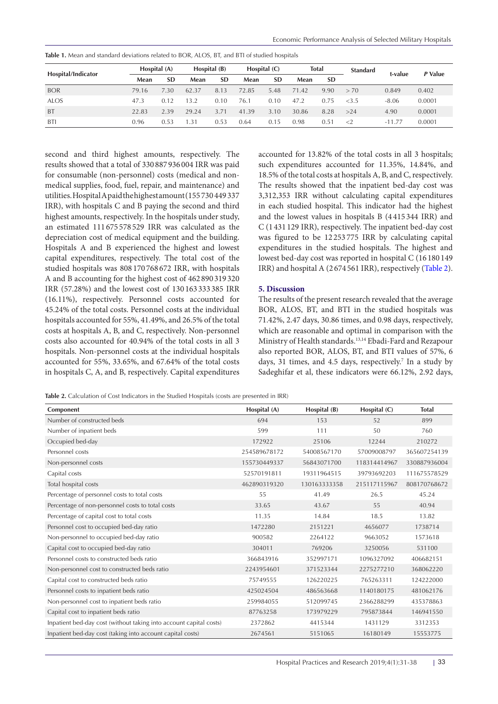| Hospital/Indicator | Hospital (A) |           | Hospital (B)     |           | Hospital $(C)$ |           | <b>Total</b> |           | <b>Standard</b> | t-value  | P Value |
|--------------------|--------------|-----------|------------------|-----------|----------------|-----------|--------------|-----------|-----------------|----------|---------|
|                    | Mean         | <b>SD</b> | Mean             | <b>SD</b> | Mean           | <b>SD</b> | Mean         | <b>SD</b> |                 |          |         |
| <b>BOR</b>         | 79.16        | 7.30      | 62.37            | 8.13      | 72.85          | 5.48      | 71.42        | 9.90      | > 70            | 0.849    | 0.402   |
| <b>ALOS</b>        | 47.3         | 0.12      | 13.2             | 0.10      | 76.1           | 0.10      | 47.2         | 0.75      | <3.5            | $-8.06$  | 0.0001  |
| <b>BT</b>          | 22.83        | 2.39      | 29.24            | 3.71      | 41.39          | 3.10      | 30.86        | 8.28      | >24             | 4.90     | 0.0001  |
| BTI                | 0.96         | 0.53      | $\overline{.}31$ | 0.53      | 0.64           | 0.15      | 0.98         | 0.51      | $\leq$ 2        | $-11.77$ | 0.0001  |

<span id="page-2-0"></span>**Table 1.** Mean and standard deviations related to BOR, ALOS, BT, and BTI of studied hospitals

second and third highest amounts, respectively. The results showed that a total of 330 887 936 004 IRR was paid for consumable (non-personnel) costs (medical and nonmedical supplies, food, fuel, repair, and maintenance) and utilities. Hospital A paid the highest amount (155 730 449 337 IRR), with hospitals C and B paying the second and third highest amounts, respectively. In the hospitals under study, an estimated 111 675 578 529 IRR was calculated as the depreciation cost of medical equipment and the building. Hospitals A and B experienced the highest and lowest capital expenditures, respectively. The total cost of the studied hospitals was 808 170 768 672 IRR, with hospitals A and B accounting for the highest cost of 462 890 319 320 IRR (57.28%) and the lowest cost of 130 163 333 385 IRR (16.11%), respectively. Personnel costs accounted for 45.24% of the total costs. Personnel costs at the individual hospitals accounted for 55%, 41.49%, and 26.5% of the total costs at hospitals A, B, and C, respectively. Non-personnel costs also accounted for 40.94% of the total costs in all 3 hospitals. Non-personnel costs at the individual hospitals accounted for 55%, 33.65%, and 67.64% of the total costs in hospitals C, A, and B, respectively. Capital expenditures

accounted for 13.82% of the total costs in all 3 hospitals; such expenditures accounted for 11.35%, 14.84%, and 18.5% of the total costs at hospitals A, B, and C, respectively. The results showed that the inpatient bed-day cost was 3,312,353 IRR without calculating capital expenditures in each studied hospital. This indicator had the highest and the lowest values in hospitals B (4 415 344 IRR) and C (1 431 129 IRR), respectively. The inpatient bed-day cost was figured to be 12 253 775 IRR by calculating capital expenditures in the studied hospitals. The highest and lowest bed-day cost was reported in hospital C (16 180 149 IRR) and hospital A (2 674 561 IRR), respectively ([Table 2\)](#page-2-1).

# **5. Discussion**

The results of the present research revealed that the average BOR, ALOS, BT, and BTI in the studied hospitals was 71.42%, 2.47 days, 30.86 times, and 0.98 days, respectively, which are reasonable and optimal in comparison with the Ministry of Health standards.13,14 Ebadi-Fard and Rezapour also reported BOR, ALOS, BT, and BTI values of 57%, 6 days, 31 times, and 4.5 days, respectively.<sup>7</sup> In a study by Sadeghifar et al, these indicators were 66.12%, 2.92 days,

<span id="page-2-1"></span>Table 2. Calculation of Cost Indicators in the Studied Hospitals (costs are presented in IRR)

| Component                                                          | Hospital (A) | Hospital (B) | Hospital (C) | <b>Total</b> |
|--------------------------------------------------------------------|--------------|--------------|--------------|--------------|
| Number of constructed beds                                         | 694          | 153          | 52           | 899          |
| Number of inpatient beds                                           | 599          | 111          | 50           | 760          |
| Occupied bed-day                                                   | 172922       | 25106        | 12244        | 210272       |
| Personnel costs                                                    | 254589678172 | 54008567170  | 57009008797  | 365607254139 |
| Non-personnel costs                                                | 155730449337 | 56843071700  | 118314414967 | 330887936004 |
| Capital costs                                                      | 52570191811  | 19311964515  | 39793692203  | 111675578529 |
| Total hospital costs                                               | 462890319320 | 130163333358 | 215117115967 | 808170768672 |
| Percentage of personnel costs to total costs                       | 55           | 41.49        | 26.5         | 45.24        |
| Percentage of non-personnel costs to total costs                   | 33.65        | 43.67        | 55           | 40.94        |
| Percentage of capital cost to total costs                          | 11.35        | 14.84        | 18.5         | 13.82        |
| Personnel cost to occupied bed-day ratio                           | 1472280      | 2151221      | 4656077      | 1738714      |
| Non-personnel to occupied bed-day ratio                            | 900582       | 2264122      | 9663052      | 1573618      |
| Capital cost to occupied bed-day ratio                             | 304011       | 769206       | 3250056      | 531100       |
| Personnel costs to constructed beds ratio                          | 366843916    | 352997171    | 1096327092   | 406682151    |
| Non-personnel cost to constructed beds ratio                       | 2243954601   | 371523344    | 2275277210   | 368062220    |
| Capital cost to constructed beds ratio                             | 75749555     | 126220225    | 765263311    | 124222000    |
| Personnel costs to inpatient beds ratio                            | 425024504    | 486563668    | 1140180175   | 481062176    |
| Non-personnel cost to inpatient beds ratio                         | 259984055    | 512099745    | 2366288299   | 435378863    |
| Capital cost to inpatient beds ratio                               | 87763258     | 173979229    | 795873844    | 146941550    |
| Inpatient bed-day cost (without taking into account capital costs) | 2372862      | 4415344      | 1431129      | 3312353      |
| Inpatient bed-day cost (taking into account capital costs)         | 2674561      | 5151065      | 16180149     | 15553775     |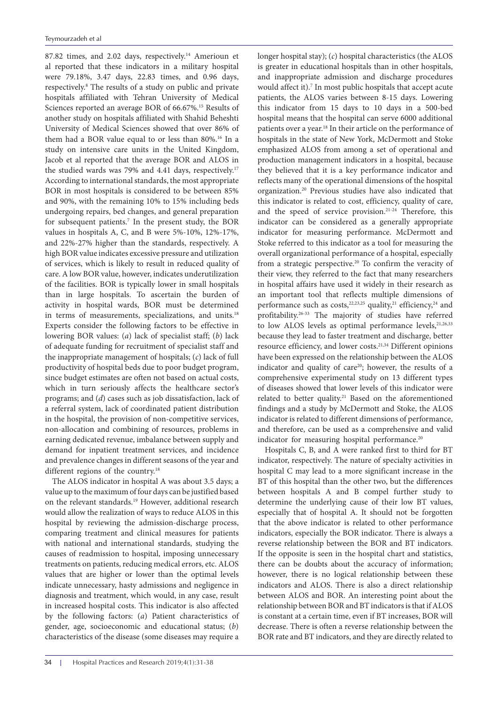87.82 times, and 2.02 days, respectively.<sup>14</sup> Amerioun et al reported that these indicators in a military hospital were 79.18%, 3.47 days, 22.83 times, and 0.96 days, respectively.<sup>8</sup> The results of a study on public and private hospitals affiliated with Tehran University of Medical Sciences reported an average BOR of 66.67%.<sup>15</sup> Results of another study on hospitals affiliated with Shahid Beheshti University of Medical Sciences showed that over 86% of them had a BOR value equal to or less than 80%.<sup>16</sup> In a study on intensive care units in the United Kingdom, Jacob et al reported that the average BOR and ALOS in the studied wards was 79% and 4.41 days, respectively.<sup>17</sup> According to international standards, the most appropriate BOR in most hospitals is considered to be between 85% and 90%, with the remaining 10% to 15% including beds undergoing repairs, bed changes, and general preparation for subsequent patients.<sup>7</sup> In the present study, the BOR values in hospitals A, C, and B were 5%-10%, 12%-17%, and 22%-27% higher than the standards, respectively. A high BOR value indicates excessive pressure and utilization of services, which is likely to result in reduced quality of care. A low BOR value, however, indicates underutilization of the facilities. BOR is typically lower in small hospitals than in large hospitals. To ascertain the burden of activity in hospital wards, BOR must be determined in terms of measurements, specializations, and units.<sup>18</sup> Experts consider the following factors to be effective in lowering BOR values: (*a*) lack of specialist staff; (*b*) lack of adequate funding for recruitment of specialist staff and the inappropriate management of hospitals; (*c*) lack of full productivity of hospital beds due to poor budget program, since budget estimates are often not based on actual costs, which in turn seriously affects the healthcare sector's programs; and (*d*) cases such as job dissatisfaction, lack of a referral system, lack of coordinated patient distribution in the hospital, the provision of non-competitive services, non-allocation and combining of resources, problems in earning dedicated revenue, imbalance between supply and demand for inpatient treatment services, and incidence and prevalence changes in different seasons of the year and different regions of the country.<sup>18</sup>

The ALOS indicator in hospital A was about 3.5 days; a value up to the maximum of four days can be justified based on the relevant standards.19 However, additional research would allow the realization of ways to reduce ALOS in this hospital by reviewing the admission-discharge process, comparing treatment and clinical measures for patients with national and international standards, studying the causes of readmission to hospital, imposing unnecessary treatments on patients, reducing medical errors, etc. ALOS values that are higher or lower than the optimal levels indicate unnecessary, hasty admissions and negligence in diagnosis and treatment, which would, in any case, result in increased hospital costs. This indicator is also affected by the following factors: (*a*) Patient characteristics of gender, age, socioeconomic and educational status; (*b*) characteristics of the disease (some diseases may require a

longer hospital stay); (*c*) hospital characteristics (the ALOS is greater in educational hospitals than in other hospitals, and inappropriate admission and discharge procedures would affect it).<sup>7</sup> In most public hospitals that accept acute patients, the ALOS varies between 8-15 days. Lowering this indicator from 15 days to 10 days in a 500-bed hospital means that the hospital can serve 6000 additional patients over a year.18 In their article on the performance of hospitals in the state of New York, McDermott and Stoke emphasized ALOS from among a set of operational and production management indicators in a hospital, because they believed that it is a key performance indicator and reflects many of the operational dimensions of the hospital organization.20 Previous studies have also indicated that this indicator is related to cost, efficiency, quality of care, and the speed of service provision.21-24 Therefore, this indicator can be considered as a generally appropriate indicator for measuring performance. McDermott and Stoke referred to this indicator as a tool for measuring the overall organizational performance of a hospital, especially from a strategic perspective.20 To confirm the veracity of their view, they referred to the fact that many researchers in hospital affairs have used it widely in their research as an important tool that reflects multiple dimensions of performance such as costs,<sup>22,23,25</sup> quality,<sup>21</sup> efficiency,<sup>24</sup> and profitability.26-33 The majority of studies have referred to low ALOS levels as optimal performance levels, $21,26,33$ because they lead to faster treatment and discharge, better resource efficiency, and lower costs.21,34 Different opinions have been expressed on the relationship between the ALOS indicator and quality of care<sup>20</sup>; however, the results of a comprehensive experimental study on 13 different types of diseases showed that lower levels of this indicator were related to better quality.<sup>21</sup> Based on the aforementioned findings and a study by McDermott and Stoke, the ALOS indicator is related to different dimensions of performance, and therefore, can be used as a comprehensive and valid indicator for measuring hospital performance.<sup>20</sup>

Hospitals C, B, and A were ranked first to third for BT indicator, respectively. The nature of specialty activities in hospital C may lead to a more significant increase in the BT of this hospital than the other two, but the differences between hospitals A and B compel further study to determine the underlying cause of their low BT values, especially that of hospital A. It should not be forgotten that the above indicator is related to other performance indicators, especially the BOR indicator. There is always a reverse relationship between the BOR and BT indicators. If the opposite is seen in the hospital chart and statistics, there can be doubts about the accuracy of information; however, there is no logical relationship between these indicators and ALOS. There is also a direct relationship between ALOS and BOR. An interesting point about the relationship between BOR and BT indicators is that if ALOS is constant at a certain time, even if BT increases, BOR will decrease. There is often a reverse relationship between the BOR rate and BT indicators, and they are directly related to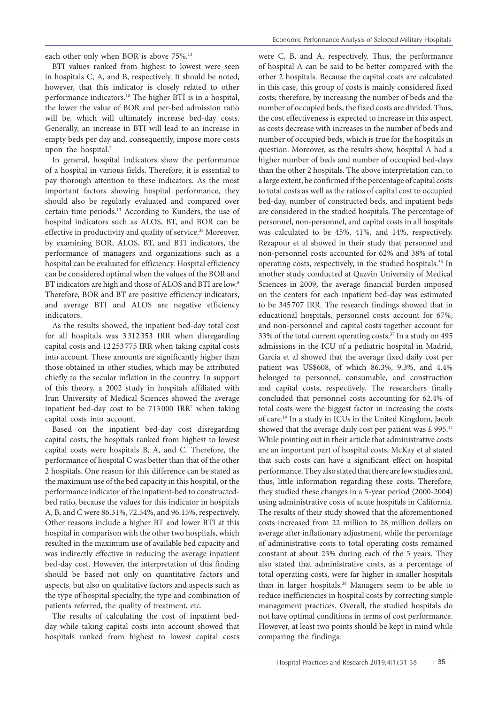each other only when BOR is above 75%.<sup>13</sup>

BTI values ranked from highest to lowest were seen in hospitals C, A, and B, respectively. It should be noted, however, that this indicator is closely related to other performance indicators.18 The higher BTI is in a hospital, the lower the value of BOR and per-bed admission ratio will be, which will ultimately increase bed-day costs. Generally, an increase in BTI will lead to an increase in empty beds per day and, consequently, impose more costs upon the hospital.<sup>7</sup>

In general, hospital indicators show the performance of a hospital in various fields. Therefore, it is essential to pay thorough attention to these indicators. As the most important factors showing hospital performance, they should also be regularly evaluated and compared over certain time periods.13 According to Kunders, the use of hospital indicators such as ALOS, BT, and BOR can be effective in productivity and quality of service.<sup>35</sup> Moreover, by examining BOR, ALOS, BT, and BTI indicators, the performance of managers and organizations such as a hospital can be evaluated for efficiency. Hospital efficiency can be considered optimal when the values of the BOR and BT indicators are high and those of ALOS and BTI are low.<sup>8</sup> Therefore, BOR and BT are positive efficiency indicators, and average BTI and ALOS are negative efficiency indicators.

As the results showed, the inpatient bed-day total cost for all hospitals was 3 312 353 IRR when disregarding capital costs and 12 253 775 IRR when taking capital costs into account. These amounts are significantly higher than those obtained in other studies, which may be attributed chiefly to the secular inflation in the country. In support of this theory, a 2002 study in hospitals affiliated with Iran University of Medical Sciences showed the average inpatient bed-day cost to be 713 000 IRR7 when taking capital costs into account.

Based on the inpatient bed-day cost disregarding capital costs, the hospitals ranked from highest to lowest capital costs were hospitals B, A, and C. Therefore, the performance of hospital C was better than that of the other 2 hospitals. One reason for this difference can be stated as the maximum use of the bed capacity in this hospital, or the performance indicator of the inpatient-bed to constructedbed ratio, because the values for this indicator in hospitals A, B, and C were 86.31%, 72.54%, and 96.15%, respectively. Other reasons include a higher BT and lower BTI at this hospital in comparison with the other two hospitals, which resulted in the maximum use of available bed capacity and was indirectly effective in reducing the average inpatient bed-day cost. However, the interpretation of this finding should be based not only on quantitative factors and aspects, but also on qualitative factors and aspects such as the type of hospital specialty, the type and combination of patients referred, the quality of treatment, etc.

The results of calculating the cost of inpatient bedday while taking capital costs into account showed that hospitals ranked from highest to lowest capital costs

were C, B, and A, respectively. Thus, the performance of hospital A can be said to be better compared with the other 2 hospitals. Because the capital costs are calculated in this case, this group of costs is mainly considered fixed costs; therefore, by increasing the number of beds and the number of occupied beds, the fixed costs are divided. Thus, the cost effectiveness is expected to increase in this aspect, as costs decrease with increases in the number of beds and number of occupied beds, which is true for the hospitals in question. Moreover, as the results show, hospital A had a higher number of beds and number of occupied bed-days than the other 2 hospitals. The above interpretation can, to a large extent, be confirmed if the percentage of capital costs to total costs as well as the ratios of capital cost to occupied bed-day, number of constructed beds, and inpatient beds are considered in the studied hospitals. The percentage of personnel, non-personnel, and capital costs in all hospitals was calculated to be 45%, 41%, and 14%, respectively. Rezapour et al showed in their study that personnel and non-personnel costs accounted for 62% and 38% of total operating costs, respectively, in the studied hospitals.<sup>36</sup> In another study conducted at Qazvin University of Medical Sciences in 2009, the average financial burden imposed on the centers for each inpatient bed-day was estimated to be 345 707 IRR. The research findings showed that in educational hospitals, personnel costs account for 67%, and non-personnel and capital costs together account for 33% of the total current operating costs. $37$  In a study on 495 admissions in the ICU of a pediatric hospital in Madrid, Garcia et al showed that the average fixed daily cost per patient was US\$608, of which 86.3%, 9.3%, and 4.4% belonged to personnel, consumable, and construction and capital costs, respectively. The researchers finally concluded that personnel costs accounting for 62.4% of total costs were the biggest factor in increasing the costs of care.19 In a study in ICUs in the United Kingdom, Jacob showed that the average daily cost per patient was  $£ 995.^{17}$ While pointing out in their article that administrative costs are an important part of hospital costs, McKay et al stated that such costs can have a significant effect on hospital performance. They also stated that there are few studies and, thus, little information regarding these costs. Therefore, they studied these changes in a 5-year period (2000-2004) using administrative costs of acute hospitals in California. The results of their study showed that the aforementioned costs increased from 22 million to 28 million dollars on average after inflationary adjustment, while the percentage of administrative costs to total operating costs remained constant at about 23% during each of the 5 years. They also stated that administrative costs, as a percentage of total operating costs, were far higher in smaller hospitals than in larger hospitals.<sup>38</sup> Managers seem to be able to reduce inefficiencies in hospital costs by correcting simple management practices. Overall, the studied hospitals do not have optimal conditions in terms of cost performance. However, at least two points should be kept in mind while comparing the findings: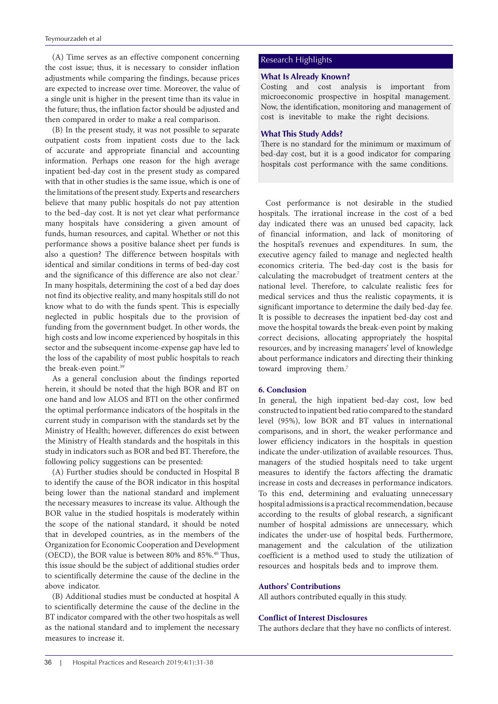(A) Time serves as an effective component concerning the cost issue; thus, it is necessary to consider inflation adjustments while comparing the findings, because prices are expected to increase over time. Moreover, the value of a single unit is higher in the present time than its value in the future; thus, the inflation factor should be adjusted and then compared in order to make a real comparison.

(B) In the present study, it was not possible to separate outpatient costs from inpatient costs due to the lack of accurate and appropriate financial and accounting information. Perhaps one reason for the high average inpatient bed-day cost in the present study as compared with that in other studies is the same issue, which is one of the limitations of the present study. Experts and researchers believe that many public hospitals do not pay attention to the bed–day cost. It is not yet clear what performance many hospitals have considering a given amount of funds, human resources, and capital. Whether or not this performance shows a positive balance sheet per funds is also a question? The difference between hospitals with identical and similar conditions in terms of bed-day cost and the significance of this difference are also not clear.<sup>7</sup> In many hospitals, determining the cost of a bed day does not find its objective reality, and many hospitals still do not know what to do with the funds spent. This is especially neglected in public hospitals due to the provision of funding from the government budget. In other words, the high costs and low income experienced by hospitals in this sector and the subsequent income-expense gap have led to the loss of the capability of most public hospitals to reach the break-even point.<sup>39</sup>

As a general conclusion about the findings reported herein, it should be noted that the high BOR and BT on one hand and low ALOS and BTI on the other confirmed the optimal performance indicators of the hospitals in the current study in comparison with the standards set by the Ministry of Health; however, differences do exist between the Ministry of Health standards and the hospitals in this study in indicators such as BOR and bed BT. Therefore, the following policy suggestions can be presented:

(A) Further studies should be conducted in Hospital B to identify the cause of the BOR indicator in this hospital being lower than the national standard and implement the necessary measures to increase its value. Although the BOR value in the studied hospitals is moderately within the scope of the national standard, it should be noted that in developed countries, as in the members of the Organization for Economic Cooperation and Development (OECD), the BOR value is between 80% and 85%.<sup>40</sup> Thus, this issue should be the subject of additional studies order to scientifically determine the cause of the decline in the above indicator.

(B) Additional studies must be conducted at hospital A to scientifically determine the cause of the decline in the BT indicator compared with the other two hospitals as well as the national standard and to implement the necessary measures to increase it.

# Research Highlights

# **What Is Already Known?**

Costing and cost analysis is important from microeconomic prospective in hospital management. Now, the identification, monitoring and management of cost is inevitable to make the right decisions.

### **What This Study Adds?**

There is no standard for the minimum or maximum of bed-day cost, but it is a good indicator for comparing hospitals cost performance with the same conditions.

Cost performance is not desirable in the studied hospitals. The irrational increase in the cost of a bed day indicated there was an unused bed capacity, lack of financial information, and lack of monitoring of the hospital's revenues and expenditures. In sum, the executive agency failed to manage and neglected health economics criteria. The bed-day cost is the basis for calculating the macrobudget of treatment centers at the national level. Therefore, to calculate realistic fees for medical services and thus the realistic copayments, it is significant importance to determine the daily bed-day fee. It is possible to decreases the inpatient bed-day cost and move the hospital towards the break-even point by making correct decisions, allocating appropriately the hospital resources, and by increasing managers' level of knowledge about performance indicators and directing their thinking toward improving them.<sup>7</sup>

#### **6. Conclusion**

In general, the high inpatient bed-day cost, low bed constructed to inpatient bed ratio compared to the standard level (95%), low BOR and BT values in international comparisons, and in short, the weaker performance and lower efficiency indicators in the hospitals in question indicate the under-utilization of available resources. Thus, managers of the studied hospitals need to take urgent measures to identify the factors affecting the dramatic increase in costs and decreases in performance indicators. To this end, determining and evaluating unnecessary hospital admissions is a practical recommendation, because according to the results of global research, a significant number of hospital admissions are unnecessary, which indicates the under-use of hospital beds. Furthermore, management and the calculation of the utilization coefficient is a method used to study the utilization of resources and hospitals beds and to improve them.

#### **Authors' Contributions**

All authors contributed equally in this study.

# **Conflict of Interest Disclosures**

The authors declare that they have no conflicts of interest.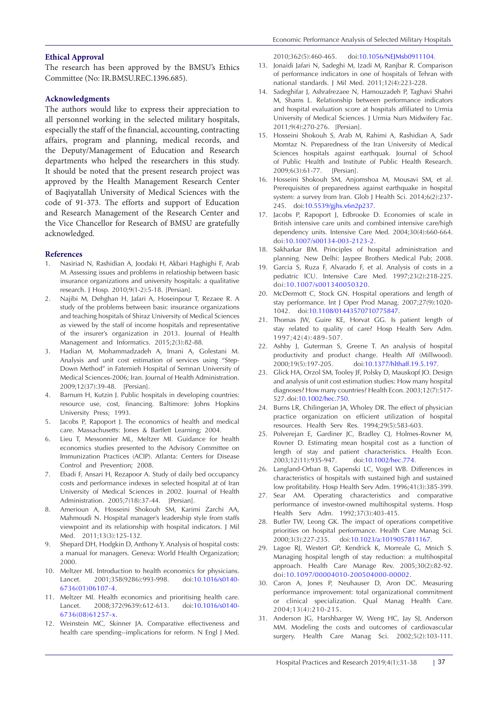#### **Ethical Approval**

The research has been approved by the BMSU's Ethics Committee (No: IR.BMSU.REC.1396.685).

# **Acknowledgments**

The authors would like to express their appreciation to all personnel working in the selected military hospitals, especially the staff of the financial, accounting, contracting affairs, program and planning, medical records, and the Deputy/Management of Education and Research departments who helped the researchers in this study. It should be noted that the present research project was approved by the Health Management Research Center of Baqiyatallah University of Medical Sciences with the code of 91-373. The efforts and support of Education and Research Management of the Research Center and the Vice Chancellor for Research of BMSU are gratefully acknowledged.

#### **References**

- 1. Nasiriad N, Rashidian A, Joodaki H, Akbari Haghighi F, Arab M. Assessing issues and problems in relatioship between basic insurance organizations and university hospitals: a qualitative research. J Hosp. 2010;9(1-2):5-18. [Persian].
- 2. Najibi M, Dehghan H, Jafari A, Hoseinpour T, Rezaee R. A study of the problems between basic insurance organizations and teaching hospitals of Shiraz University of Medical Sciences as viewed by the staff of income hospitals and representative of the insurer's organization in 2013. Journal of Health Management and Informatics. 2015;2(3):82-88.
- 3. Hadian M, Mohammadzadeh A, Imani A, Golestani M. Analysis and unit cost estimation of services using "Step-Down Method" in Fatemieh Hospital of Semnan University of Medical Sciences-2006; Iran. Journal of Health Administration. 2009;12(37):39-48. [Persian].
- 4. Barnum H, Kutzin J. Public hospitals in developing countries: resource use, cost, financing. Baltimore: Johns Hopkins University Press; 1993.
- 5. Jacobs P, Rapoport J. The economics of health and medical care. Massachusetts: Jones & Bartlett Learning; 2004.
- 6. Lieu T, Messonnier ML, Meltzer MI. Guidance for health economics studies presented to the Advisory Committee on Immunization Practices (ACIP). Atlanta: Centers for Disease Control and Prevention; 2008.
- 7. Ebadi F, Ansari H, Rezapoor A. Study of daily bed occupancy costs and performance indexes in selected hospital at of Iran University of Medical Sciences in 2002. Journal of Health Administration. 2005;7(18):37-44. [Persian].
- 8. Amerioun A, Hosseini Shokouh SM, Karimi Zarchi AA, Mahmoudi N. Hospital manager's leadership style from staffs viewpoint and its relationship with hospital indicators. J Mil Med. 2011;13(3):125-132.
- 9. Shepard DH, Hodgkin D, Anthony Y. Analysis of hospital costs: a manual for managers. Geneva: World Health Organization; 2000.
- 10. Meltzer MI. Introduction to health economics for physicians. Lancet. 2001;358(9286):993-998. doi:[10.1016/s0140-](https://doi.org/10.1016/s0140-6736(01)06107-4) [6736\(01\)06107-4.](https://doi.org/10.1016/s0140-6736(01)06107-4)
- 11. Meltzer MI. Health economics and prioritising health care. Lancet. 2008;372(9639):612-613. doi:[10.1016/s0140-](https://doi.org/10.1016/s0140-6736(08)61257-x) [6736\(08\)61257-x](https://doi.org/10.1016/s0140-6736(08)61257-x).
- 12. Weinstein MC, Skinner JA. Comparative effectiveness and health care spending--implications for reform. N Engl J Med.

2010;362(5):460-465. doi[:10.1056/NEJMsb0911104.](https://doi.org/10.1056/NEJMsb0911104)

- 13. Jonaidi Jafari N, Sadeghi M, Izadi M, Ranjbar R. Comparison of performance indicators in one of hospitals of Tehran with national standards. J Mil Med. 2011;12(4):223-228.
- 14. Sadeghifar J, Ashrafrezaee N, Hamouzadeh P, Taghavi Shahri M, Shams L. Relationship between performance indicators and hospital evaluation score at hospitals affiliated to Urmia University of Medical Sciences. J Urmia Nurs Midwifery Fac. 2011;9(4):270-276. [Persian].
- 15. Hosseini Shokouh S, Arab M, Rahimi A, Rashidian A, Sadr Momtaz N. Preparedness of the Iran University of Medical Sciences hospitals against earthquak. Journal of School of Public Health and Institute of Public Health Research. 2009;6(3):61-77. [Persian].
- 16. Hosseini Shokouh SM, Anjomshoa M, Mousavi SM, et al. Prerequisites of preparedness against earthquake in hospital system: a survey from Iran. Glob J Health Sci. 2014;6(2):237- 245. doi[:10.5539/gjhs.v6n2p237.](https://doi.org/10.5539/gjhs.v6n2p237)
- 17. Jacobs P, Rapoport J, Edbrooke D. Economies of scale in British intensive care units and combined intensive care/high dependency units. Intensive Care Med. 2004;30(4):660-664. doi[:10.1007/s00134-003-2123-2](https://doi.org/10.1007/s00134-003-2123-2).
- 18. Sakharkar BM. Principles of hospital administration and planning. New Delhi: Jaypee Brothers Medical Pub; 2008.
- 19. Garcia S, Ruza F, Alvarado F, et al. Analysis of costs in a pediatric ICU. Intensive Care Med. 1997;23(2):218-225. doi:[10.1007/s001340050320.](https://doi.org/10.1007/s001340050320)
- 20. McDermott C, Stock GN. Hospital operations and length of stay performance. Int J Oper Prod Manag. 2007;27(9):1020- 1042. doi[:10.1108/01443570710775847](https://doi.org/10.1108/01443570710775847).
- 21. Thomas JW, Guire KE, Horvat GG. Is patient length of stay related to quality of care? Hosp Health Serv Adm. 1997;42(4):489-507.
- 22. Ashby J, Guterman S, Greene T. An analysis of hospital productivity and product change. Health Aff (Millwood). 2000;19(5):197-205. doi[:10.1377/hlthaff.19.5.197.](https://doi.org/10.1377/hlthaff.19.5.197)
- 23. Glick HA, Orzol SM, Tooley JF, Polsky D, Mauskopf JO. Design and analysis of unit cost estimation studies: How many hospital diagnoses? How many countries? Health Econ. 2003;12(7):517- 527. doi:[10.1002/hec.750.](https://doi.org/10.1002/hec.750)
- 24. Burns LR, Chilingerian JA, Wholey DR. The effect of physician practice organization on efficient utilization of hospital resources. Health Serv Res. 1994;29(5):583-603.
- 25. Polverejan E, Gardiner JC, Bradley CJ, Holmes-Rovner M, Rovner D. Estimating mean hospital cost as a function of length of stay and patient characteristics. Health Econ. 2003;12(11):935-947. doi[:10.1002/hec.774](https://doi.org/10.1002/hec.774).
- 26. Langland-Orban B, Gapenski LC, Vogel WB. Differences in characteristics of hospitals with sustained high and sustained low profitability. Hosp Health Serv Adm. 1996;41(3):385-399.
- 27. Sear AM. Operating characteristics and comparative performance of investor-owned multihospital systems. Hosp Health Serv Adm. 1992;37(3):403-415.
- 28. Butler TW, Leong GK. The impact of operations competitive priorities on hospital performance. Health Care Manag Sci. 2000;3(3):227-235. doi[:10.1023/a:1019057811167.](https://doi.org/10.1023/a:1019057811167)
- 29. Lagoe RJ, Westert GP, Kendrick K, Morreale G, Mnich S. Managing hospital length of stay reduction: a multihospital approach. Health Care Manage Rev. 2005;30(2):82-92. doi:[10.1097/00004010-200504000-00002.](https://doi.org/10.1097/00004010-200504000-00002)
- 30. Caron A, Jones P, Neuhauser D, Aron DC. Measuring performance improvement: total organizational commitment or clinical specialization. Qual Manag Health Care. 2004;13(4):210-215.
- 31. Anderson JG, Harshbarger W, Weng HC, Jay SJ, Anderson MM. Modeling the costs and outcomes of cardiovascular surgery. Health Care Manag Sci. 2002;5(2):103-111.